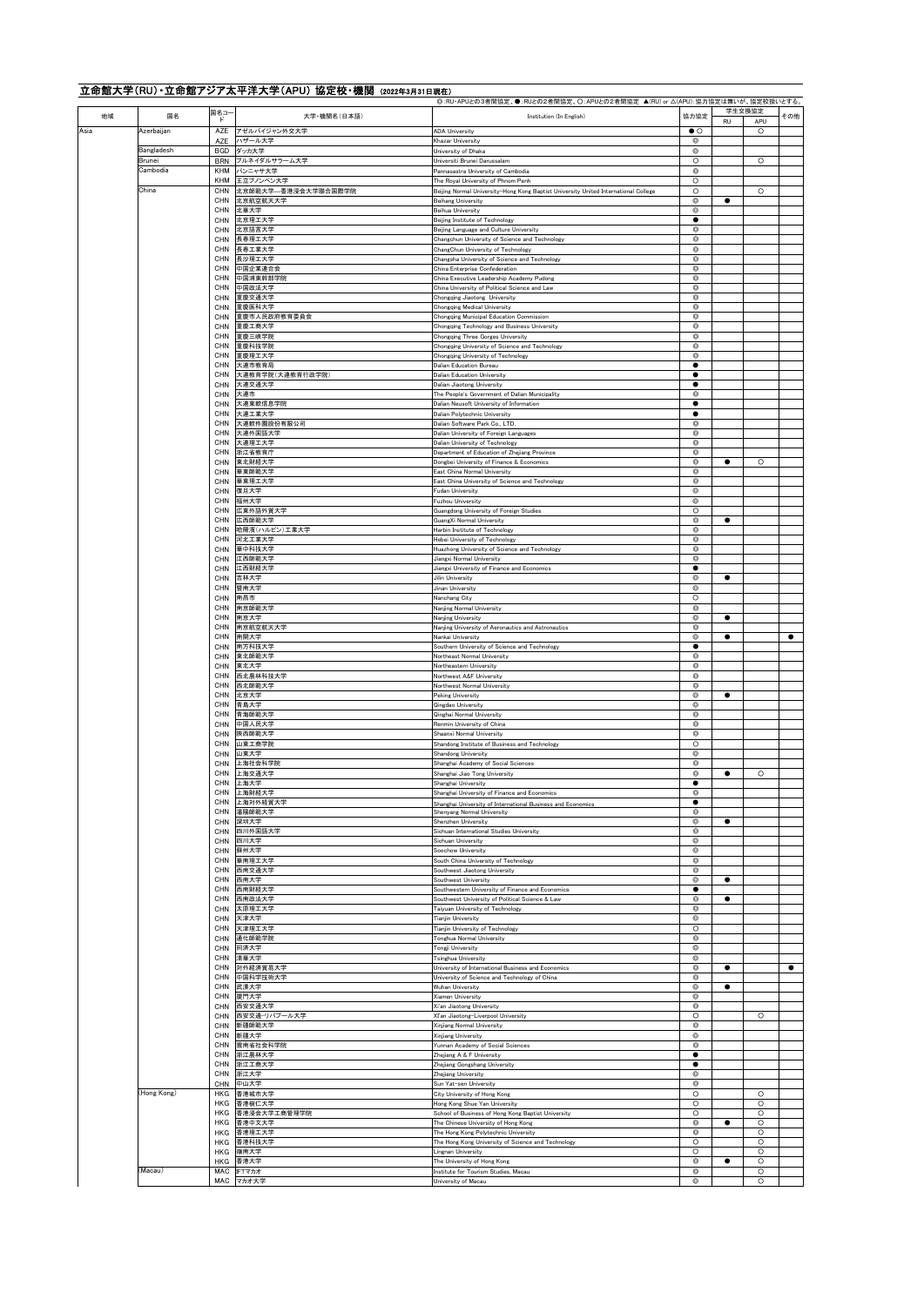| 地域   | 国名                   | 国名コー                     | 大学·機関名(日本語)                      | ◎: RU·APUとの3者間協定、●:RUとの2者間協定、〇:APUとの2者間協定 ▲(RU) or △(APU):協力協定は無いが、協定校扱いとする。<br>Institution (In English)         | 協力協定                     | 学生交換協定               | その他       |
|------|----------------------|--------------------------|----------------------------------|------------------------------------------------------------------------------------------------------------------|--------------------------|----------------------|-----------|
| Asia | Azerbaijan           | $\mathbf{F}$<br>AZE      | アゼルバイジャン外交大学                     | <b>ADA University</b>                                                                                            | $\bullet$ $\circ$        | RU<br>APU<br>$\circ$ |           |
|      |                      | AZE                      | ハザール大学                           | Khazar University                                                                                                | Ø                        |                      |           |
|      | Bangladesh<br>Brunei | <b>BGD</b><br><b>BRN</b> | ダッカ大学<br>ブルネイダルサラーム大学            | University of Dhaka<br>Universiti Brunei Darussalam                                                              | Ø<br>O                   | O                    |           |
|      | Cambodia             | KHM                      | パンニャサ大学                          | Pannasastra University of Cambodia                                                                               | O                        |                      |           |
|      |                      | KHM                      | 王立プノンペン大学                        | The Royal University of Phnom Penh                                                                               | $\circ$                  |                      |           |
|      | China                | CHN<br>CHN               | 北京師範大学--香港浸会大学聯合国際学院<br>北京航空航天大学 | Beijing Normal University-Hong Kong Baptist University United International College<br><b>Beihang University</b> | O<br>◎                   | $\circ$<br>٠         |           |
|      |                      | CHN                      | 北華大学                             | Beihua University                                                                                                | ◎                        |                      |           |
|      |                      | CHN<br>CHN               | 北京理工大学<br>北京語言大学                 | Beijing Institute of Technology<br>Beijing Language and Culture University                                       | $\bullet$<br>O           |                      |           |
|      |                      | CHN                      | 長春理工大学                           | Changchun University of Science and Technology                                                                   | $^{\circ}$               |                      |           |
|      |                      | CHN<br>CHN               | 長春工業大学<br>長沙理工大学                 | ChangChun University of Technology                                                                               | $\circledcirc$<br>o      |                      |           |
|      |                      | CHN                      | 中国企業連合会                          | Changsha University of Science and Technology<br>China Enterprise Confederation                                  | ◎                        |                      |           |
|      |                      | CHN                      | 中国浦東幹部学院                         | China Executive Leadership Academy Pudong                                                                        | Ô                        |                      |           |
|      |                      | CHN<br>CHN               | 中国政法大学<br>重慶交通大学                 | China University of Political Science and Law<br>Chongqing Jiaotong University                                   | $^{\circ}$<br>$^{\circ}$ |                      |           |
|      |                      | CHN                      | 重慶医科大学                           | Chongqing Medical University                                                                                     | Õ                        |                      |           |
|      |                      | CHN<br>CHN               | 重慶市人民政府教育委員会<br>重慶工商大学           | Chongqing Municipal Education Commission<br>Chongqing Technology and Business University                         | ◎<br>⊚                   |                      |           |
|      |                      | CHN                      | 重慶三峡学院                           | Chongqing Three Gorges University                                                                                | $^{\circ}$               |                      |           |
|      |                      | CHN                      | 重慶科技学院                           | Chongqing University of Science and Technology                                                                   | $^{\circ}$               |                      |           |
|      |                      | CHN<br>CHN               | 重慶理工大学<br>大連市教育局                 | Chongqing University of Technology<br>Dalian Education Bureau                                                    | $\circledcirc$<br>٠      |                      |           |
|      |                      | CHN                      | 大連教育学院(大連教育行政学院)                 | <b>Dalian Education University</b>                                                                               | ٠                        |                      |           |
|      |                      | CHN<br>CHN               | 大連交通大学<br>大連市                    | Dalian Jiaotong University<br>The People's Government of Dalian Municipality                                     | ٠<br>⊚                   |                      |           |
|      |                      | CHN                      | 大連東軟信息学院                         | Dalian Neusoft University of Information                                                                         | $\bullet$                |                      |           |
|      |                      | CHN                      | 大連工業大学                           | Dalian Polytechnic University                                                                                    | $\bullet$                |                      |           |
|      |                      | CHN<br>CHN               | 大連軟件園股份有限公司<br>大連外国語大学           | Dalian Software Park Co., LTD.<br>Dalian University of Foreign Languages                                         | Õ<br>◎                   |                      |           |
|      |                      | CHN                      | 大連理工大学                           | Dalian University of Technology                                                                                  | O                        |                      |           |
|      |                      | CHN<br>CHN               | 浙江省教育庁<br>東北財経大学                 | Department of Education of Zhejiang Province<br>Dongbei University of Finance & Economics                        | ⊚<br>$\circledcirc$      | $\circ$<br>٠         |           |
|      |                      | CHN                      | 華東師範大学                           | East China Normal University                                                                                     | $\circledcirc$           |                      |           |
|      |                      | CHN                      | 華東理工大学                           | East China University of Science and Technology                                                                  | $\circledcirc$           |                      |           |
|      |                      | CHN<br>CHN               | 復旦大学<br>福州大学                     | Fudan University<br>Fuzhou University                                                                            | ◎<br>ø                   |                      |           |
|      |                      | CHN                      | 広東外語外貿大学                         | Guangdong University of Foreign Studies                                                                          | O                        |                      |           |
|      |                      | CHN<br>CHN               | 広西師範大学<br>哈爾濱(ハルピン)工業大学          | GuangXi Normal University                                                                                        | $^{\circ}$<br>$^{\circ}$ | ٠                    |           |
|      |                      | CHN                      | 河北工業大学                           | Harbin Institute of Technology<br>Hebei University of Technology                                                 | $^{\circ}$               |                      |           |
|      |                      | CHN                      | 華中科技大学                           | Huazhong University of Science and Technology                                                                    | ◎                        |                      |           |
|      |                      | CHN<br>CHN               | 江西師範大学<br>江西財経大学                 | Jiangxi Normal University<br>Jiangxi University of Finance and Economics                                         | ◎                        |                      |           |
|      |                      | CHN                      | 吉林大学                             | Jilin University                                                                                                 | Ô                        | $\bullet$            |           |
|      |                      | CHN                      | 曁南大学                             | Jinan University                                                                                                 | ◎                        |                      |           |
|      |                      | CHN<br>CHN               | 南昌市<br>南京師範大学                    | Nanchang City<br>Nanjing Normal University                                                                       | O<br>$^{\circ}$          |                      |           |
|      |                      | CHN                      | 南京大学                             | Nanjing University                                                                                               | Ô                        | $\bullet$            |           |
|      |                      | CHN<br>CHN               | 南京航空航天大学<br>南開大学                 | Nanjing University of Aeronautics and Astronautics<br>Nankai University                                          | $^{\circ}$<br>Ø          | $\bullet$            | $\bullet$ |
|      |                      | CHN                      | 南方科技大学                           | Southern University of Science and Technology                                                                    | ٠                        |                      |           |
|      |                      | CHN                      | 東北師範大学                           | Northeast Normal University                                                                                      | ◎                        |                      |           |
|      |                      | CHN<br>CHN               | 東北大学<br>西北農林科技大学                 | Northeastern University<br>Northwest A&F University                                                              | Ô<br>◎                   |                      |           |
|      |                      | CHN                      | 西北師範大学                           | Northwest Normal University                                                                                      | $^{\circ}$               |                      |           |
|      |                      | CHN<br>CHN               | 北京大学<br>青島大学                     | Peking University<br>Qingdao University                                                                          | ◎<br>◎                   | ٠                    |           |
|      |                      | CHN                      | 青海師範大学                           | Qinghai Normal University                                                                                        | ◎                        |                      |           |
|      |                      | <b>CHN</b><br>CHN        | 中国人民大学<br>陝西師範大学                 | Renmin University of China                                                                                       | ◎<br>$^{\circ}$          |                      |           |
|      |                      | CHN                      | 山東工商学院                           | Shaanxi Normal University<br>Shandong Institute of Business and Technology                                       | O                        |                      |           |
|      |                      | CHN                      | 山東大学                             | Shandong University                                                                                              | ◎                        |                      |           |
|      |                      | CHN<br>CHN               | 上海社会科学院<br>上海交通大学                | Shanghai Academy of Social Sciences<br>Shanghai Jiao Tong University                                             | Ô<br>◎                   | $\circ$<br>٠         |           |
|      |                      | CHN                      | 上海大学                             | Shanghai University                                                                                              |                          |                      |           |
|      |                      | CHN                      | 上海财経大学                           | Shanghai University of Finance and Economics                                                                     | $^{\circ}$<br>٠          |                      |           |
|      |                      | CHN<br>CHN               | 上海対外経貿大学<br>瀋陽師範大学               | Shanghai University of International Business and Economics<br>Shenyang Normal University                        | $^{\circ}$               |                      |           |
|      |                      | CHN                      | 深圳大学                             | Shenzhen University                                                                                              | ◎                        | ٠                    |           |
|      |                      | CHN<br>CHN               | 四川外国語大学<br>四川大学                  | Sichuan International Studies University<br>Sichuan University                                                   | $^{\circ}$<br>Ô          |                      |           |
|      |                      | CHN                      | 蘇州大学                             | Soochow University                                                                                               | Ô                        |                      |           |
|      |                      | CHN<br>CHN               | 華南理工大学<br>西南交通大学                 | South China University of Technology<br>Southwest Jiaotong University                                            | $^{\circ}$<br>◎          |                      |           |
|      |                      | CHN                      | 西南大学                             | Southwest University                                                                                             | ◎                        | ٠                    |           |
|      |                      | CHN                      | 西南财経大学                           | Southwestern University of Finance and Economics                                                                 |                          |                      |           |
|      |                      | CHN<br>CHN               | 西南政法大学<br>太原理工大学                 | Southwest University of Political Science & Law<br>Taiyuan University of Technology                              | $^{\circ}$<br>$^{\circ}$ | $\bullet$            |           |
|      |                      | CHN                      | 天津大学                             | Tianjin University                                                                                               | Ô                        |                      |           |
|      |                      | CHN<br>CHN               | 天津理工大学<br>通化師範学院                 | Tianjin University of Technology<br>Tonghua Normal University                                                    | O<br>◎                   |                      |           |
|      |                      | CHN                      | 同済大学                             | Tongji University                                                                                                | Ô                        |                      |           |
|      |                      | CHN                      | 清華大学                             | Tsinghua University                                                                                              | Ô                        |                      |           |
|      |                      | CHN<br>CHN               | 対外経済貿易大学<br>中国科学技術大学             | University of International Business and Economics<br>University of Science and Technology of China              | $\circledcirc$<br>◎      | ٠                    | $\bullet$ |
|      |                      | CHN                      | 武漢大学                             | Wuhan University                                                                                                 | ø                        |                      |           |
|      |                      | CHN<br>CHN               | 厦門大学<br>西安交通大学                   | Xiamen University<br>Xi'an Jiaotong University                                                                   | ◎<br>$^{\circ}$          |                      |           |
|      |                      | CHN                      | 西安交通ーリバブール大学                     | XI'an Jiaotong-Liverpool University                                                                              | O                        | $\circ$              |           |
|      |                      | CHN                      | 新疆師範大学                           | Xinjiang Normal University                                                                                       | ⊚                        |                      |           |
|      |                      | CHN<br><b>CHN</b>        | 新疆大学<br>雲南省社会科学院                 | Xinjiang University<br>Yunnan Academy of Social Sciences                                                         | ◎<br>⊚                   |                      |           |
|      |                      | CHN                      | 浙江農林大学                           | Zhejiang A & F University                                                                                        | ٠                        |                      |           |
|      |                      | CHN<br>CHN               | 浙江工商大学<br>浙江大学                   | Zhejiang Gongshang University<br>Zhejiang University                                                             | $\bullet$<br>Ô           |                      |           |
|      |                      | CHN                      | 中山大学                             | Sun Yat-sen University                                                                                           | 6                        |                      |           |
|      | (Hong Kong)          | HKG                      | 香港城市大学                           | City University of Hong Kong                                                                                     | $\circ$                  | $\circ$              |           |
|      |                      | HKG                      | 香港樹仁大学<br>HKG 香港浸会大学工商管理学院       | Hong Kong Shue Yan University<br>School of Business of Hong Kong Baptist University                              | O<br>$\circ$             | $\circ$<br>$\circ$   |           |
|      |                      |                          | HKG 香港中文大学                       | The Chinese University of Hong Kong                                                                              | $\circledcirc$           | $\circ$              |           |
|      |                      |                          | HKG 香港理工大学                       | The Hong Kong Polytechnic University                                                                             | $\circledcirc$           | $\circ$              |           |
|      |                      | HKG<br>HKG               | 香港科技大学<br>嶺南大学                   | The Hong Kong University of Science and Technology<br>Lingnan University                                         | $\circ$<br>O             | $\circ$<br>$\circ$   |           |
|      |                      | HKG                      | 香港大学                             | The University of Hong Kong                                                                                      | ⊚                        | $\circ$              |           |
|      | (Macau)              | MAC                      | IFTマカオ<br>MAC マカオ大学              | Institute for Tourism Studies, Macau<br>University of Macau                                                      | $^{\circ}$<br>$^{\circ}$ | $\circ$<br>$\circ$   |           |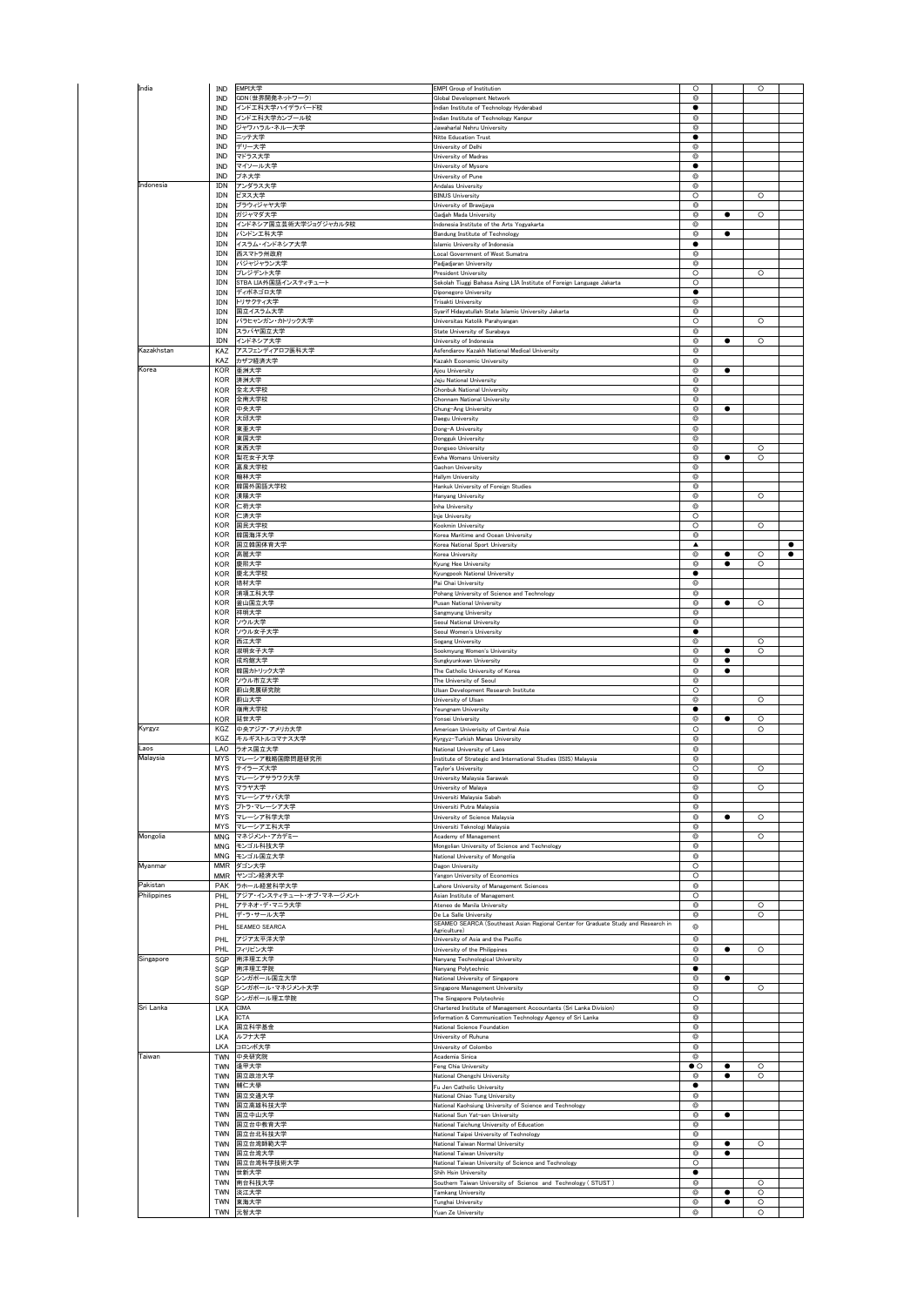|                                      | IND                      | EMPI大学                                   | <b>EMPI Group of Institution</b>                                                                  | $\circ$                          |                        | $\circ$            |           |
|--------------------------------------|--------------------------|------------------------------------------|---------------------------------------------------------------------------------------------------|----------------------------------|------------------------|--------------------|-----------|
|                                      | IND                      | GDN(世界開発ネットワーク)                          | Global Development Network                                                                        | $\circ$                          |                        |                    |           |
|                                      | IND<br>IND               | インドエ科大学ハイデラバード校<br>インドエ科大学カンプール校         | Indian Institute of Technology Hyderabad<br>Indian Institute of Technology Kanpur                 | $\bullet$<br>◎                   |                        |                    |           |
|                                      | IND                      | ジャワハラル・ネルー大学                             | Jawaharlal Nehru University                                                                       | $^{\circ}$                       |                        |                    |           |
|                                      | IND                      | ニッテ大学                                    | Nitte Education Trust                                                                             | ٠                                |                        |                    |           |
|                                      | IND<br>IND               | デリー大学                                    | University of Delhi                                                                               | $^{\circ}$<br>$^{\circ}$         |                        |                    |           |
|                                      | IND                      | マドラス大学<br>マイソール大学                        | University of Madras<br>University of Mysore                                                      | ٠                                |                        |                    |           |
|                                      | IND                      | プネ大学                                     | University of Pune                                                                                | ◎                                |                        |                    |           |
| Indonesia                            | IDN                      | アンダラス大学                                  | Andalas University                                                                                | $^{\circ}$                       |                        |                    |           |
|                                      | IDN<br>IDN               | ビヌス大学<br>ブラウィジャヤ大学                       | <b>BINUS University</b><br>University of Brawijaya                                                | $\circ$<br>$^{\circ}$            |                        | $\circ$            |           |
|                                      | IDN                      | ガジャマダ大学                                  | Gadjah Mada University                                                                            | $\circledcirc$                   | $\bullet$              | $\circ$            |           |
|                                      | IDN                      | インドネシア国立芸術大学ジョグジャカルタ校                    | Indonesia Institute of the Arts Yogyakarta                                                        | $\circledcirc$                   |                        |                    |           |
|                                      | IDN                      | バンドン工科大学                                 | Bandung Institute of Technology                                                                   | ◎                                | ٠                      |                    |           |
|                                      | IDN<br>IDN               | イスラム・インドネシア大学<br>西スマトラ州政府                | Islamic University of Indonesia<br>ocal Government of West Sumatra                                | ٠<br>$^{\circ}$                  |                        |                    |           |
|                                      | IDN                      | パジャジャラン大学                                | Padjadjaran University                                                                            | $\circ$                          |                        |                    |           |
|                                      | IDN                      | プレジデント大学                                 | President University                                                                              | $\circ$                          |                        | $\circ$            |           |
|                                      | IDN                      | STBA LIA外国語インスティチュート                     | Sekolah Tiuggi Bahasa Asing LIA Institute of Foreign Language Jakarta                             | $\circ$                          |                        |                    |           |
|                                      | IDN<br>IDN               | ディポネゴロ大学<br>トリサクティ大学                     | Diponegoro University<br>Trisakti University                                                      | ٠<br>◎                           |                        |                    |           |
|                                      | IDN                      | 国立イスラム大学                                 | Syarif Hidayatullah State Islamic University Jakarta                                              | $^{\circ}$                       |                        |                    |           |
|                                      | IDN                      | パラヒャンガン・カトリック大学                          | Universitas Katolik Parahyangan                                                                   | $\circ$                          |                        | $\circ$            |           |
|                                      | IDN<br>IDN               | スラバヤ国立大学<br>インドネシア大学                     | State University of Surabaya<br>University of Indonesia                                           | $\circ$<br>◎                     | $\bullet$              | $\circ$            |           |
| Kazakhstan                           | KAZ                      | アスフェンディアロフ医科大学                           | Asfendiarov Kazakh National Medical University                                                    | O                                |                        |                    |           |
|                                      | KAZ                      | カザフ経済大学                                  | Kazakh Economic University                                                                        | $\circ$                          |                        |                    |           |
| Korea                                | KOR                      | 亜洲大学                                     | Ajou University                                                                                   | $\circledcirc$                   | $\bullet$              |                    |           |
|                                      | KOR                      | 済洲大学<br>全北大学校                            | Jeju National University                                                                          | $^{\circ}$                       |                        |                    |           |
|                                      | KOR<br>KOR               | 全南大学校                                    | Chonbuk National University<br>Chonnam National University                                        | $\circledcirc$<br>$^{\circ}$     |                        |                    |           |
|                                      | KOR                      | 中央大学                                     | Chung-Ang University                                                                              | $\circledcirc$                   | ٠                      |                    |           |
|                                      | KOR                      | 大邱大学                                     | Daegu University                                                                                  | $^{\circ}$                       |                        |                    |           |
|                                      | KOR<br>KOR               | 東亜大学<br>東国大学                             | Dong-A University<br>Dongguk University                                                           | $^{\circ}$<br>$\circledcirc$     |                        |                    |           |
|                                      | KOR                      | 東西大学                                     | Dongseo University                                                                                | $\circledcirc$                   |                        | $\circ$            |           |
|                                      | KOR                      | 梨花女子大学                                   | Ewha Womans University                                                                            | ◎                                | ٠                      | $\circ$            |           |
|                                      | KOR                      | 嘉泉大学校                                    | Gachon University                                                                                 | ◎                                |                        |                    |           |
|                                      | KOR<br>KOR               | 翰林大学<br>韓国外国語大学校                         | Hallym University<br>Hankuk University of Foreign Studies                                         | $^{\circ}$<br>$\circledcirc$     |                        |                    |           |
|                                      | KOR                      | 漢陽大学                                     | Hanyang University                                                                                | $\circledcirc$                   |                        | $\circ$            |           |
|                                      | KOR                      | 仁荷大学                                     | Inha University                                                                                   | ◎                                |                        |                    |           |
|                                      | KOR<br>KOR               | 仁済大学<br>国民大学校                            | Inje University<br>Kookmin University                                                             | $\circ$<br>O                     |                        | $\circ$            |           |
|                                      | KOR                      | 韓国海洋大学                                   | Korea Maritime and Ocean University                                                               | $\circledcirc$                   |                        |                    |           |
|                                      | KOR                      | 国立韓国体育大学                                 | Korea National Sport University                                                                   | ▲                                |                        |                    | $\bullet$ |
|                                      | KOR                      | 高麗大学                                     | Korea University                                                                                  | $^{\circ}$                       | $\bullet$              | $\circ$            | $\bullet$ |
|                                      | KOR<br>KOR               | 慶熙大学<br>慶北大学校                            | Kyung Hee University<br>Kyungpook National University                                             | $\circledcirc$<br>٠              | ٠                      | $\circ$            |           |
|                                      | KOR                      | 培材大学                                     | Pai Chai University                                                                               | ◎                                |                        |                    |           |
|                                      | KOR                      | 浦項工科大学                                   | Pohang University of Science and Technology                                                       | $^{\circ}$                       |                        |                    |           |
|                                      | KOR                      | 釜山国立大学                                   | Pusan National University                                                                         | $\circledcirc$                   | $\bullet$              | $\circ$            |           |
|                                      | KOR<br>KOR               | 祥明大学<br>ソウル大学                            | Sangmyung University<br>Seoul National University                                                 | $\circledcirc$<br>$\circledcirc$ |                        |                    |           |
|                                      | KOR                      | ソウル女子大学                                  | Seoul Women's University                                                                          | ٠                                |                        |                    |           |
|                                      | KOR                      | 西江大学                                     | Sogang University                                                                                 | $\circledcirc$                   |                        | $\circ$            |           |
|                                      | KOR                      | 淑明女子大学                                   | Sookmyung Women's University                                                                      | $\circledcirc$                   | ٠                      | $\circ$            |           |
|                                      | KOR<br>KOR               | 成均館大学<br>韓国カトリック大学                       | Sungkyunkwan University<br>The Catholic University of Korea                                       | $^{\circ}$<br>$\circ$            | $\bullet$<br>$\bullet$ |                    |           |
|                                      | KOR                      | ソウル市立大学                                  | The University of Seoul                                                                           | $\circledcirc$                   |                        |                    |           |
|                                      |                          |                                          | Ulsan Development Research Institute                                                              |                                  |                        |                    |           |
|                                      | KOR                      | 蔚山発展研究院                                  |                                                                                                   | $\circ$                          |                        |                    |           |
|                                      | KOR                      | 蔚山大学                                     | University of Ulsan                                                                               | ◎                                |                        | $\circ$            |           |
|                                      | KOR                      | 嶺南大学校<br>延世大学                            | Yeungnam University<br>Yonsei University                                                          | ٠<br>$^{\circ}$                  |                        | $\circ$            |           |
| Kyrgyz                               | KOR<br>KGZ               | 中央アジア・アメリカ大学                             | American Univerisity of Central Asia                                                              | $\circ$                          | $\bullet$              | $\circ$            |           |
|                                      | KGZ                      | キルギストルコマナス大学                             | Kyrgyz-Turkish Manas University                                                                   | ◎                                |                        |                    |           |
| Laos                                 | LAO                      | ラオス国立大学                                  | National University of Laos                                                                       | $^{\circ}$                       |                        |                    |           |
|                                      | <b>MYS</b><br><b>MYS</b> | マレーシア戦略国際問題研究所<br>テイラーズ大学                | Institute of Strategic and International Studies (ISIS) Malaysia<br>Taylor's University           | $^{\circ}$<br>$\circ$            |                        | $\circ$            |           |
|                                      | <b>MYS</b>               | マレーシアサラ                                  | Iniversity Malaysia                                                                               |                                  |                        |                    |           |
| Malaysia                             | MYS                      | マラヤ大学                                    | University of Malaya                                                                              | $\circledcirc$                   |                        | $\circ$            |           |
|                                      | MYS<br>MYS               | マレーシアサバ大学<br>ブトラ・マレーシア大学                 | Universiti Malaysia Sabah<br>Universiti Putra Malaysia                                            | $^{\circ}$<br>$^{\circ}$         |                        |                    |           |
|                                      | <b>MYS</b>               | マレーシア科学大学                                | University of Science Malaysia                                                                    | $\circledcirc$                   | $\bullet$              | $\circ$            |           |
|                                      | MYS                      | マレーシアエ科大学                                | Universiti Teknologi Malaysia                                                                     | $\circ$                          |                        |                    |           |
|                                      | MNG                      | マネジメント・アカデミー                             | Academy of Management                                                                             | ◎                                |                        | $\circ$            |           |
|                                      | MNG<br>MNG               | モンゴル科技大学<br>モンゴル国立大学                     | Mongolian University of Science and Technology<br>National University of Mongolia                 | $\circledcirc$<br>$\circ$        |                        |                    |           |
| Myanmar                              | <b>MMR</b>               | ダゴン大学                                    | Dagon University                                                                                  | $\circ$                          |                        |                    |           |
|                                      | MMR                      | ヤンゴン経済大学                                 | Yangon University of Economics                                                                    | O                                |                        |                    |           |
|                                      | PAK                      | ラホール経営科学大学                               | Lahore University of Management Sciences                                                          | $^{\circ}$                       |                        |                    |           |
| Pakistan                             | PHL<br>PHL               | アジア・インスティチュート・オブ・マネージメント<br>アテネオ・デ・マニラ大学 | Asian Institute of Management<br>Ateneo de Manila University                                      | $\circ$<br>$\circledcirc$        |                        | $\circ$            |           |
|                                      | PHL                      | デ・ラ・サール大学                                | De La Salle University                                                                            | $\circledcirc$                   |                        | $\circ$            |           |
|                                      | PHL                      | SEAMEO SEARCA                            | SEAMEO SEARCA (Southeast Asian Regional Center for Graduate Study and Research in<br>Agriculture) | ◎                                |                        |                    |           |
|                                      | PHL                      | アジア太平洋大学                                 | University of Asia and the Pacific                                                                | $\circ$                          |                        |                    |           |
|                                      | PHL                      | フィリピン大学                                  | University of the Philippines                                                                     | $^{\circ}$                       | $\bullet$              | $\circ$            |           |
|                                      | SGP                      | 南洋理工大学                                   | Nanyang Technological University                                                                  | $\circledcirc$                   |                        |                    |           |
|                                      | SGP<br>SGP               | 南洋理工学院<br>シンガポール国立大学                     | Nanyang Polytechnic<br>National University of Singapore                                           | ٠<br>$^{\circ}$                  | ٠                      |                    |           |
|                                      | SGP                      | シンガポール・マネジメント大学                          | Singapore Management University                                                                   | $^{\circ}$                       |                        | $\circ$            |           |
|                                      | SGP                      | シンガポール理工学院                               | The Singapore Polytechnic                                                                         | $\circ$                          |                        |                    |           |
|                                      | LKA                      | CIMA                                     | Chartered Institute of Management Accountants (Sri Lanka Division)                                | $\circledcirc$                   |                        |                    |           |
|                                      | LKA<br>LKA               | ICTA<br>国立科学基金                           | Information & Communication Technology Agency of Sri Lanka<br>National Science Foundation         | $\circledcirc$<br>$^{\circ}$     |                        |                    |           |
|                                      | LKA                      | ルフナ大学                                    | University of Ruhuna                                                                              | ◎                                |                        |                    |           |
|                                      | LKA                      | コロンボ大学                                   | University of Colombo                                                                             | $^{\circ}$                       |                        |                    |           |
| Taiwan                               | TWN                      | 中央研究院                                    | Academia Sinica                                                                                   | $^{\circ}$<br>$\bullet$ $\circ$  | $\bullet$              | $\circ$            |           |
|                                      | TWN<br>TWN               | 逢甲大学<br>国立政治大学                           | Feng Chia University<br>National Chengchi University                                              | $^{\circ}$                       | ٠                      | O                  |           |
| Singapore                            | TWN                      | 輔仁大學                                     | Fu Jen Catholic University                                                                        | ٠                                |                        |                    |           |
|                                      |                          | TWN 国立交通大学                               | National Chiao Tung University                                                                    | $^{\circ}$                       |                        |                    |           |
|                                      | <b>TWN</b>               | 国立高雄科技大学                                 | National Kaohsiung University of Science and Technology                                           | $\circledcirc$                   |                        |                    |           |
|                                      |                          | TWN 国立中山大学<br>TWN 国立台中教育大学               | National Sun Yat-sen University<br>National Taichung University of Education                      | $\circledcirc$<br>$\circledcirc$ | $\bullet$              |                    |           |
|                                      | TWN                      | 国立台北科技大学                                 | National Taipei University of Technology                                                          | $^{\circ}$                       |                        |                    |           |
|                                      | TWN                      | 国立台湾師範大学                                 | National Taiwan Normal University                                                                 | $^{\circ}$                       | ٠                      | O                  |           |
|                                      | TWN                      | 国立台湾大学                                   | National Taiwan University                                                                        | $^{\circ}$                       | ٠                      |                    |           |
| Mongolia<br>Philippines<br>Sri Lanka | TWN<br>TWN               | 国立台湾科学技術大学<br>世新大学                       | National Taiwan University of Science and Technology<br>Shih Hsin University                      | $\circ$<br>$\bullet$             |                        |                    |           |
|                                      | TWN                      | 南台科技大学                                   | Southern Taiwan University of Science and Technology (STUST)                                      | $\circledcirc$                   |                        | $\circ$            |           |
|                                      | TWN<br>TWN               | 淡江大学<br>東海大学                             | Tamkang University<br>Tunghai University                                                          | $\circledcirc$<br>◎              | ٠<br>٠                 | $\circ$<br>$\circ$ |           |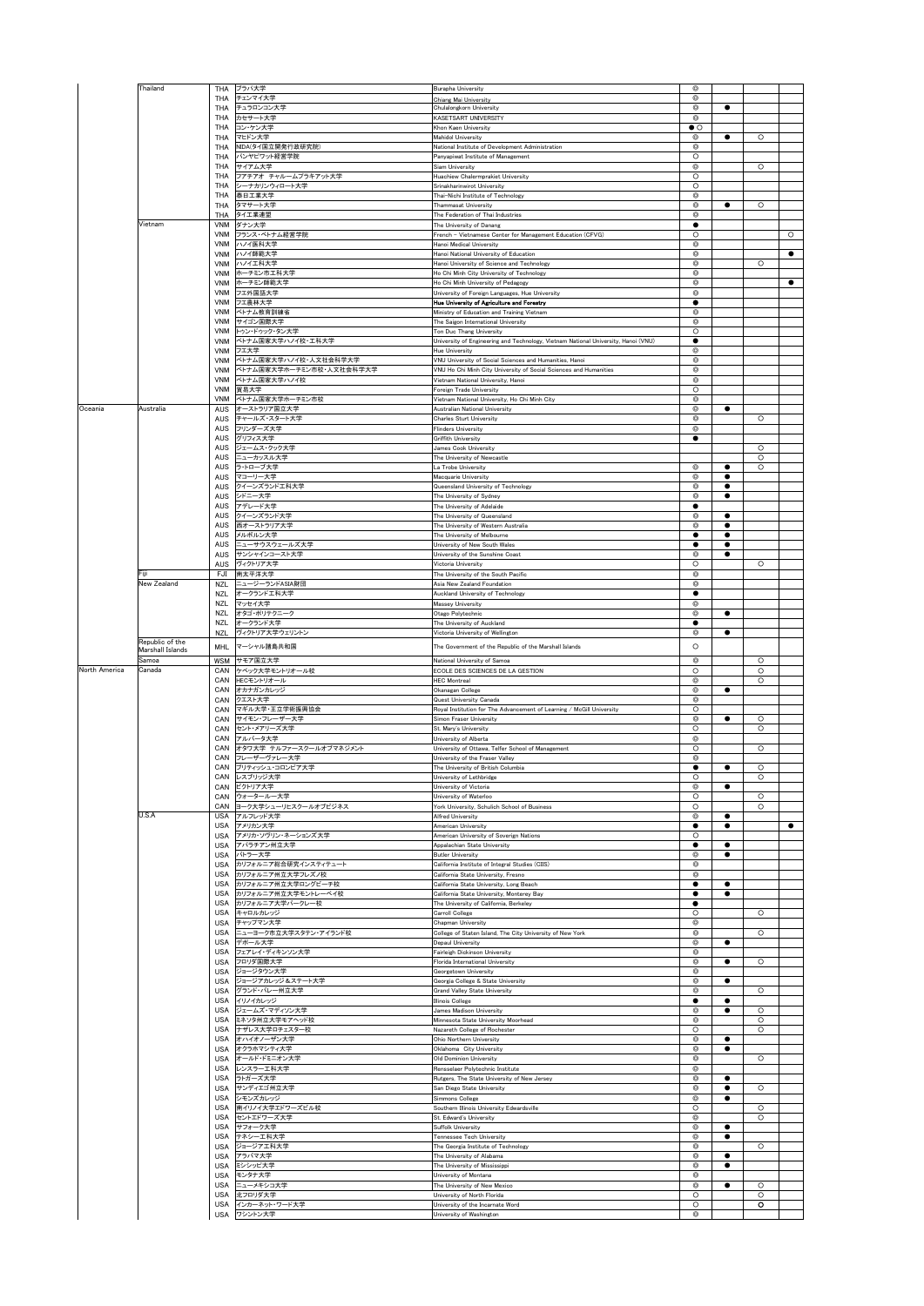|               | Thailand                            | THA<br>THA               | ブラパ大学<br>チェンマイ大学                          | Burapha University                                                                                          | ◎<br>◎                              |                |                    |           |
|---------------|-------------------------------------|--------------------------|-------------------------------------------|-------------------------------------------------------------------------------------------------------------|-------------------------------------|----------------|--------------------|-----------|
|               |                                     | THA                      | チュラロンコン大学                                 | Chiang Mai University<br>Chulalongkorn University                                                           | ⊚                                   | ٠              |                    |           |
|               |                                     | THA                      | カセサート大学                                   | KASETSART UNIVERSITY                                                                                        | ◎                                   |                |                    |           |
|               |                                     | THA<br><b>THA</b>        | コン・ケン大学<br>マヒドン大学                         | Khon Kaen University<br>Mahidol University                                                                  | $\bullet$ $\circ$<br>$\circledcirc$ | ٠              | $\circ$            |           |
|               |                                     | THA                      | NIDA(タイ国立開発行政研究院)                         | National Institute of Development Administration                                                            | Õ                                   |                |                    |           |
|               |                                     | THA<br>THA               | パンヤビワット経営学院<br>サイアム大学                     | anyapiwat Institute of Management<br>iam University                                                         | O<br>O                              |                | $\circ$            |           |
|               |                                     | THA                      | フアチアオ チャルームブラキアット大学                       | luachiew Chalermprakiet University                                                                          | $\circ$                             |                |                    |           |
|               |                                     | <b>THA</b><br><b>THA</b> | シーナカリンウィロート大学<br>泰日工業大学                   | Srinakharinwirot University<br>Thai-Nichi Institute of Technology                                           | $\circ$<br>$\circledcirc$           |                |                    |           |
|               |                                     | THA                      | タマサート大学                                   | Thammasat University                                                                                        | Ø                                   | ٠              | $\circ$            |           |
|               | Vietnam                             | THA<br>VNM               | タイエ業連盟<br>ダナン大学                           | The Federation of Thai Industries<br>The University of Danang                                               | ⊚                                   |                |                    |           |
|               |                                     | VNM                      | フランス・ベトナム経営学院                             | French - Vietnamese Center for Management Education (CFVG)                                                  | $\circ$                             |                |                    | $\circ$   |
|               |                                     | VNM                      | ハノイ医科大学                                   | Hanoi Medical University                                                                                    | Ô<br>Õ                              |                |                    | $\bullet$ |
|               |                                     | VNM<br>VNM               | ハノイ師範大学<br>ハノイエ科大学                        | Hanoi National University of Education<br>Hanoi University of Science and Technology                        | Ô                                   |                | $\circ$            |           |
|               |                                     | VNM                      | ホーチミン市工科大学                                | Ho Chi Minh City University of Technology                                                                   | ◎                                   |                |                    |           |
|               |                                     | VNM<br>VNM               | ホーチミン師範大学<br>フエ外国語大学                      | Ho Chi Minh University of Pedagogy<br>University of Foreign Languages, Hue University                       | o<br>Ô                              |                |                    | ٠         |
|               |                                     | <b>VNM</b>               | フェ農林大学                                    | Hue University of Agriculture and Forestry                                                                  |                                     |                |                    |           |
|               |                                     | <b>VNM</b><br>VNM        | ベトナム教育訓練省<br>サイゴン国際大学                     | Ministry of Education and Training Vietnam<br>The Saigon International University                           | O<br>⊚                              |                |                    |           |
|               |                                     | <b>VNM</b>               | トゥン・ドゥック・タン大学                             | Ton Duc Thang University                                                                                    | O                                   |                |                    |           |
|               |                                     | VNM<br>VNM               | ベトナム国家大学ハノイ校・工科大学<br>フエ大学                 | University of Engineering and Technology, Vietnam National University, Hanoi (VNU)<br><b>Hue University</b> | ٠<br>Ô                              |                |                    |           |
|               |                                     | <b>VNM</b>               | ベトナム国家大学ハノイ校・人文社会科学大学                     | VNU University of Social Sciences and Humanities, Hanoi                                                     | $^{\circ}$                          |                |                    |           |
|               |                                     | <b>VNM</b><br>VNM        | ベトナム国家大学ホーチミン市校・人文社会科学大学<br>ベトナム国家大学ハノイ校  | VNU Ho Chi Minh City University of Social Sciences and Humanities<br>Vietnam National University, Hanoi     | Õ<br>Ô                              |                |                    |           |
|               |                                     | VNM                      | 貿易大学                                      | oreign Trade University                                                                                     | O                                   |                |                    |           |
| Oceania       | Australia                           | VNM<br>AUS               | ベトナム国家大学ホーチミン市校<br>オーストラリア国立大学            | Vietnam National University, Ho Chi Minh City<br>Australian National University                             | ⊚<br>$\circledcirc$                 | $\bullet$      |                    |           |
|               |                                     | <b>AUS</b>               | チャールズ・スタート大学                              | Charles Sturt University                                                                                    | $\circledcirc$                      |                | $\circ$            |           |
|               |                                     | AUS<br><b>AUS</b>        | フリンダーズ大学<br>グリフィス大学                       | Flinders University<br>Griffith University                                                                  | ◎<br>٠                              |                |                    |           |
|               |                                     | AUS                      | ジェームス・クック大学<br>ニューカッスル大学                  | James Cook University<br>The University of Newcastle                                                        |                                     |                | $\circ$<br>$\circ$ |           |
|               |                                     | AUS<br><b>AUS</b>        | ラ・トローブ大学                                  | La Trobe University                                                                                         | $^{\circ}$                          | ٠              | $\circ$            |           |
|               |                                     | AUS<br>AUS               | マコーリー大学<br>クイーンズランド工科大学                   | Macquarie University<br>Queensland University of Technology                                                 | Õ<br>©                              | ٠<br>$\bullet$ |                    |           |
|               |                                     | AUS                      | シドニー大学                                    | The University of Sydney                                                                                    | ◎                                   |                |                    |           |
|               |                                     | AUS<br>AUS               | アデレード大学<br>クイーンズランド大学                     | The University of Adelaide<br>The University of Queensland                                                  | O                                   | ٠              |                    |           |
|               |                                     | AUS                      | 西オーストラリア大学                                | The University of Western Australia                                                                         | $^{\circ}$                          | $\bullet$      |                    |           |
|               |                                     | AUS<br>AUS               | メルボルン大学<br>ニューサウスウェールズ大学                  | The University of Melbourne<br>University of New South Wales                                                |                                     | ٠              |                    |           |
|               |                                     | AUS                      | サンシャインコースト大学<br>AUS ヴィクトリア大学              | University of the Sunshine Coast                                                                            | ◎                                   | ٠              | $\circ$            |           |
|               | Fiji                                | FJI                      | 南太平洋大学                                    | Victoria University<br>The University of the South Pacific                                                  | O<br>Ó                              |                |                    |           |
|               | New Zealand                         | NZL<br>NZL               | ニュージーランドASIA財団<br>オークランドエ科大学              | Asia New Zealand Foundation<br>Auckland University of Technology                                            | Õ                                   |                |                    |           |
|               |                                     | NZL                      | マッセイ大学                                    | Massey University                                                                                           | ◎                                   |                |                    |           |
|               |                                     | NZL<br>NZL               | オタゴ・ポリテクニーク<br>オークランド大学                   | Otago Polytechnic<br>The University of Auckland                                                             | ◎<br>٠                              | ٠              |                    |           |
|               |                                     | <b>NZL</b>               | ヴィクトリア大学ウェリントン                            | Victoria University of Wellington                                                                           | ◎                                   | ٠              |                    |           |
|               | Republic of the<br>Marshall Islands | MHL                      | マーシャル諸島共和国                                | The Government of the Republic of the Marshall Islands                                                      | $\circ$                             |                |                    |           |
|               |                                     |                          |                                           |                                                                                                             |                                     |                |                    |           |
|               | Samoa                               |                          | WSM サモア国立大学                               | National University of Samoa                                                                                | $\circledcirc$                      |                | $\circ$            |           |
|               | Canada                              | CAN<br>CAN               | ケベック大学モントリオール校<br>HECモントリオール              | ECOLE DES SCIENCES DE LA GESTION<br><b>HEC Montreal</b>                                                     | $\circ$<br>◎                        |                | $\circ$<br>$\circ$ |           |
|               |                                     | CAN<br>CAN               | オカナガンカレッジ                                 | Okanagan College                                                                                            | ◎                                   | ٠              |                    |           |
|               |                                     | CAN                      | クエスト大学<br>マギル大学・王立学術振興協会                  | Quest University Canada<br>Royal Institution for The Advancement of Learning / McGill University            | Ó<br>$\circ$                        |                |                    |           |
| North America |                                     | CAN<br>CAN               | サイモン・フレーザー大学<br>セント・メアリーズ大学               | Simon Fraser University<br>St. Mary's University                                                            | Õ<br>$\circ$                        | $\bullet$      | $\circ$<br>$\circ$ |           |
|               |                                     | CAN                      | アルバータ大学                                   | University of Alberta                                                                                       | ◎                                   |                |                    |           |
|               |                                     | CAN<br>CAN               | オタワ大学 テルファースクールオブマネジメント<br>フレーザーヴァレー大学    | University of Ottawa, Telfer School of Management<br>University of the Fraser Valley                        | O<br>$^{\circ}$                     |                | $\circ$            |           |
|               |                                     | CAN                      | ブリティッシュ・コロンビア大学                           | The University of British Columbia                                                                          |                                     | ٠              | $\circ$            |           |
|               |                                     | CAN<br>CAN               | レスブリッジ大学<br>ビクトリア大学                       | University of Lethbridge<br>University of Victoria                                                          | O<br>◎                              |                | $\circ$            |           |
|               |                                     | CAN<br>CAN               | ウォータールー大学<br>ヨーク大学シューリヒスクールオブビジネス         | University of Waterloo<br>York University, Schulich School of Business                                      | O<br>O                              |                | $\circ$<br>$\circ$ |           |
|               | U.S.A                               | <b>USA</b>               | アルフレッド大学                                  | Alfred University                                                                                           | $^{\circ}$                          | ٠              |                    |           |
|               |                                     | USA<br>USA               | アメリカン大学<br>アメリカ・ソヴリン・ネーションズ大学             | American University<br>American University of Soverign Nations                                              | O                                   | ٠              |                    | $\bullet$ |
|               |                                     | <b>USA</b>               | アパラチアン州立大学                                | Appalachian State University                                                                                |                                     | ٠              |                    |           |
|               |                                     | USA<br>USA               | バトラー大学<br>カリフォルニア総合研究インスティテュート            | <b>Butler University</b><br>California Institute of Integral Studies (CIIS)                                 | ◎<br>◎                              | ٠              |                    |           |
|               |                                     | <b>USA</b>               | カリフォルニア州立大学フレズノ校                          | California State University, Fresno                                                                         | Ô                                   |                |                    |           |
|               |                                     | <b>USA</b><br><b>USA</b> | カリフォルニア州立大学ロングビーチ校<br>カリフォルニア州立大学モントレーベイ校 | alifornia State University, Long Beach<br>California State University, Monterey Bay                         | ٠<br>$\bullet$                      | ٠<br>٠         |                    |           |
|               |                                     | <b>USA</b><br><b>USA</b> | カリフォルニア大学バークレー校                           | The University of California, Berkeley                                                                      | ٠                                   |                | $\circ$            |           |
|               |                                     | <b>USA</b>               | キャロルカレッジ<br>チャップマン大学                      | Carroll College<br>Chapman University                                                                       | O<br>$^{\circ}$                     |                |                    |           |
|               |                                     | <b>USA</b><br>USA        | ニューヨーク市立大学スタテン・アイランド校<br>デポール大学           | College of Staten Island, The City University of New York<br>Depaul University                              | Ô<br>Ø                              | ٠              | $\circ$            |           |
|               |                                     | USA                      | フェアレイ・ディキンソン大学                            | Fairleigh Dickinson University                                                                              | Ô                                   |                |                    |           |
|               |                                     | <b>USA</b><br><b>USA</b> | フロリダ国際大学<br>ジョージタウン大学                     | Florida International University<br>Georgetown University                                                   | o<br>o                              | ٠              | $\circ$            |           |
|               |                                     | <b>USA</b>               | ジョージアカレッジ&ステート大学                          | Georgia College & State University                                                                          | Ô                                   | ٠              |                    |           |
|               |                                     | <b>USA</b><br>USA        | グランド・バレー州立大学<br>イリノイカレッジ                  | Grand Valley State University<br><b>Illinois College</b>                                                    | ø                                   |                | $\circ$            |           |
|               |                                     | USA<br><b>USA</b>        | ジェームズ・マディソン大学<br>ミネソタ州立大学モアヘッド校           | James Madison University<br>Minnesota State University Moorhead                                             | ◎<br>o                              |                | $\circ$<br>$\circ$ |           |
|               |                                     | <b>USA</b>               | ナザレス大学ロチェスター校                             | Nazareth College of Rochester                                                                               | $\circ$                             |                | $\circ$            |           |
|               |                                     | <b>USA</b>               | USA オハイオノーザン大学<br>オクラホマシティ大学              | Ohio Northern University<br>Oklahoma City University                                                        | Ô<br>Ô                              | ٠              |                    |           |
|               |                                     | USA                      | オールド・ドミニオン大学                              | Old Dominion University                                                                                     | ◎                                   |                | $\circ$            |           |
|               |                                     | <b>USA</b><br>USA        | レンスラーエ科大学<br>ラトガーズ大学                      | Rensselaer Polytechnic Institute<br>Rutgers, The State University of New Jersey                             | O<br>o                              | ٠              |                    |           |
|               |                                     | USA<br>USA               | サンディエゴ州立大学                                | San Diego State University                                                                                  | Ô<br>◎                              | ٠<br>٠         | $\circ$            |           |
|               |                                     | USA                      | シモンズカレッジ<br>南イリノイ大学エドワーズビル校               | Simmons College<br>Southern Illinois University Edwardsville                                                | O                                   |                | $\circ$            |           |
|               |                                     | USA<br><b>USA</b>        | セントエドワーズ大学<br>サフォーク大学                     | St. Edward's University<br>Suffolk University                                                               | ◎<br>◎                              | ٠              | $\circ$            |           |
|               |                                     | <b>USA</b>               | テネシーエ科大学                                  | Tennessee Tech University                                                                                   | ◎                                   | ٠              |                    |           |
|               |                                     | <b>USA</b><br>USA        | ジョージアエ科大学<br>アラバマ大学                       | The Georgia Institute of Technology<br>The University of Alabama                                            | Ô<br>Ô                              | ٠              | $\circ$            |           |
|               |                                     | USA                      | ミシシッピ大学                                   | The University of Mississippi                                                                               | Ø                                   | ٠              |                    |           |
|               |                                     | <b>USA</b><br>USA        | モンタナ大学<br>ニューメキシコ大学                       | University of Montana<br>The University of New Mexico                                                       | Ô<br>o                              | ٠              | $\circ$            |           |
|               |                                     | <b>USA</b><br>USA        | 北フロリダ大学<br>インカーネット・ワード大学                  | University of North Florida<br>University of the Incarnate Word                                             | O<br>$\circ$                        |                | $\circ$<br>۰       |           |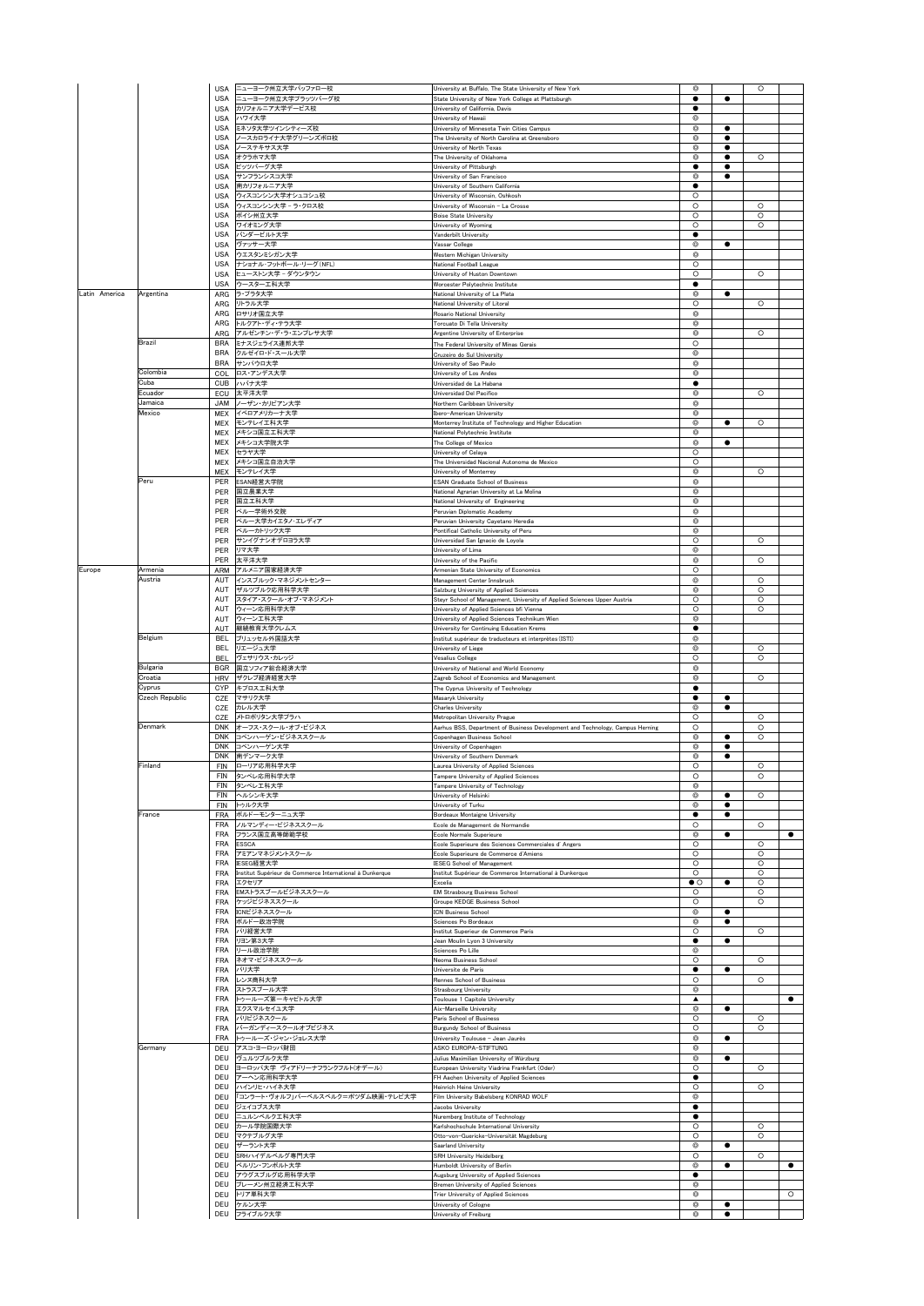|               |                   | <b>USA</b>               | ニューヨーク州立大学バッファロー校                                                 | University at Buffalo, The State University of New York                                                             | ◎                            |                | $\circ$            |           |
|---------------|-------------------|--------------------------|-------------------------------------------------------------------|---------------------------------------------------------------------------------------------------------------------|------------------------------|----------------|--------------------|-----------|
|               |                   | <b>USA</b><br><b>USA</b> | ニューヨーク州立大学プラッツバーグ校<br>カリフォルニア大学デービス校                              | State University of New York College at Plattsburgh<br>University of California, Davis                              | ٠<br>٠                       |                |                    |           |
|               |                   | <b>USA</b>               | ハワイ大学                                                             | University of Hawaii                                                                                                | Ô                            |                |                    |           |
|               |                   | <b>USA</b>               | ミネソタ大学ツインシティーズ校                                                   | University of Minnesota Twin Cities Campus                                                                          | Ô                            |                |                    |           |
|               |                   | <b>USA</b><br><b>USA</b> | ノースカロライナ大学グリーンズボロ校<br>ノーステキサス大学                                   | The University of North Carolina at Greensboro<br>University of North Texas                                         | Ô<br>O                       | ٠<br>٠         |                    |           |
|               |                   | USA                      | オクラホマ大学                                                           | The University of Oklahoma                                                                                          | o                            | ٠              | $\circ$            |           |
|               |                   | <b>USA</b>               | ピッツバーグ大学<br>サンフランシスコ大学                                            | University of Pittsburgh                                                                                            |                              | ٠              |                    |           |
|               |                   | <b>USA</b><br><b>USA</b> | 南カリフォルニア大学                                                        | University of San Francisco<br>University of Southern California                                                    | Ô                            | $\bullet$      |                    |           |
|               |                   | USA                      | ウィスコンシン大学オシュコシュ校                                                  | University of Wisconsin, Oshkosh                                                                                    | O                            |                |                    |           |
|               |                   | <b>USA</b>               | ウィスコンシン大学 - ラ・クロス校<br>ボイシ州立大学                                     | University of Wisconsin - La Crosse                                                                                 | O                            |                | $\circ$            |           |
|               |                   | USA<br><b>USA</b>        | ワイオミング大学                                                          | <b>Boise State University</b><br>University of Wyoming                                                              | O<br>$\circ$                 |                | $\circ$<br>$\circ$ |           |
|               |                   | <b>USA</b>               | バンダービルト大学                                                         | Vanderbilt University                                                                                               | $\bullet$                    |                |                    |           |
|               |                   | USA<br>USA               | ヴァッサー大学<br>ウエスタンミシガン大学                                            | Vassar College<br>Western Michigan University                                                                       | Õ<br>$^{\circ}$              | $\bullet$      |                    |           |
|               |                   | USA                      | ナショナル·フットボール·リーグ(NFL)                                             | National Football League                                                                                            | O                            |                |                    |           |
|               |                   | <b>USA</b>               | ヒューストン大学 - ダウンタウン                                                 | University of Huston Downtown                                                                                       | $\circ$                      |                | $\circ$            |           |
| Latin America | Argentina         | <b>USA</b><br>ARG        | ウースターエ科大学<br>ラ・プラタ大学                                              | Worcester Polytechnic Institute<br>National University of La Plata                                                  | ٠<br>⊚                       |                |                    |           |
|               |                   | ARG                      | リトラル大学                                                            | National University of Litoral                                                                                      | O                            |                | $\circ$            |           |
|               |                   | ARG                      | ロサリオ国立大学                                                          | Rosario National University                                                                                         | $^{\circ}$                   |                |                    |           |
|               |                   | ARG<br>ARG               | トルクアト・ディ・テラ大学<br>アルゼンチン・デ・ラ・エンプレサ大学                               | Torcuato Di Tella University<br>Argentine University of Enterprise                                                  | Õ<br>Ô                       |                | $\circ$            |           |
|               | Brazil            | <b>BRA</b>               | ミナスジェライス連邦大学                                                      | The Federal University of Minas Gerais                                                                              | $\circ$                      |                |                    |           |
|               |                   | <b>BRA</b>               | クルゼイロ・ド・スール大学                                                     | Cruzeiro do Sul University                                                                                          | Ô                            |                |                    |           |
|               | Colombia          | <b>BRA</b>               | サンパウロ大学<br>COL ロス・アンデス大学                                          | University of Sao Paulo<br>University of Los Andes                                                                  | ©<br>◎                       |                |                    |           |
|               | Cuba              |                          | CUB ハバナ大学                                                         | Universidad de La Habana                                                                                            | $\bullet$                    |                |                    |           |
|               | Ecuador           | ECU                      | 太平洋大学                                                             | Universidad Del Pacifico                                                                                            | Ô                            |                | $\circ$            |           |
|               | Jamaica<br>Mexico | <b>JAM</b><br>MEX        | ノーザン・カリビアン大学<br>イベロアメリカーナ大学                                       | Northern Caribbean University<br><b>Ibero-American University</b>                                                   | ◎<br>◎                       |                |                    |           |
|               |                   | MEX                      | モンテレイエ科大学                                                         | Monterrey Institute of Technology and Higher Education                                                              | ◎                            | ٠              | $\circ$            |           |
|               |                   | MEX                      | メキシコ国立工科大学<br>メキシコ大学院大学                                           | National Polytechnic Institute                                                                                      | o<br>◎                       |                |                    |           |
|               |                   | MEX<br>MEX               | セラヤ大学                                                             | The College of Mexico<br>University of Celaya                                                                       | O                            |                |                    |           |
|               |                   | MEX                      | メキシコ国立自治大学                                                        | The Universidad Nacional Autonoma de Mexico                                                                         | O                            |                |                    |           |
|               | Peru              | <b>MFX</b>               | モンテレイ大学<br>ESAN経営大学院                                              | University of Monterrey<br><b>ESAN Graduate School of Business</b>                                                  | $^{\circ}$<br>Õ              |                | $\circ$            |           |
|               |                   | PER<br>PER               | 国立農業大学                                                            | National Agrarian University at La Molina                                                                           | ◎                            |                |                    |           |
|               |                   | PER                      | 国立工科大学                                                            | National University of Engineering                                                                                  | o                            |                |                    |           |
|               |                   | PER<br><b>PFR</b>        | ペルー学術外交院<br>ペルー大学カイエタノ·エレディア                                      | Peruvian Diplomatic Academy<br>Peruvian University Cayetano Heredia                                                 | ◎<br>Ô                       |                |                    |           |
|               |                   | PER                      | ペルーカトリック大学                                                        | Pontifical Catholic University of Peru                                                                              | $\circledcirc$               |                |                    |           |
|               |                   | PER                      | サンイグナシオデロヨラ大学                                                     | Universidad San Ignacio de Loyola                                                                                   | $\circ$                      |                | $\circ$            |           |
|               |                   | PER<br>PER               | リマ大学<br>太平洋大学                                                     | University of Lima<br>University of the Pacific                                                                     | ◎<br>$^{\circ}$              |                | $\circ$            |           |
| Europe        | Armenia           | ARM                      | アルメニア国家経済大学                                                       | Armenian State University of Economics                                                                              | O                            |                |                    |           |
|               | Austria           | <b>AUT</b>               | インスブルック・マネジメントセンター                                                | Management Center Innsbruck                                                                                         | ◎                            |                | $\circ$            |           |
|               |                   | <b>AUT</b><br>AUT        | ザルツブルク応用科学大学<br>スタイア・スクール・オブ・マネジメント                               | Salzburg University of Applied Sciences<br>Steyr School of Management, University of Applied Sciences Upper Austria | Ô<br>O                       |                | $\circ$<br>$\circ$ |           |
|               |                   | AUT                      | ウィーン応用科学大学                                                        | University of Applied Sciences bfi Vienna                                                                           | O                            |                | $\circ$            |           |
|               |                   | AUT<br><b>AUT</b>        | ウィーンエ科大学                                                          | University of Applied Sciences Technikum Wien                                                                       | $^{\circ}$                   |                |                    |           |
|               | Belgium           | <b>BEL</b>               | 継続教育大学クレムス<br>ブリュッセル外国語大学                                         | University for Continuing Education Krems<br>Institut supérieur de traducteurs et interprètes (ISTI)                | ◎                            |                |                    |           |
|               |                   | <b>BEL</b>               | リエージュ大学                                                           | University of Liege                                                                                                 | ø                            |                | $\circ$            |           |
|               | Bulgaria          | <b>BFI</b><br><b>BGR</b> | ヴェサリウス・カレッジ<br>国立ソフィア総合経済大学                                       | Vesalius College<br>University of National and World Economy                                                        | $\circ$<br>$^{\circ}$        |                | $\circ$            |           |
|               | Croatia           | <b>HRV</b>               | ザクレブ経済経営大学                                                        | Zagreb School of Economics and Management                                                                           | Ô                            |                | $\circ$            |           |
|               | Cyprus            | CYP                      | キプロス工科大学                                                          | The Cyprus University of Technology                                                                                 |                              |                |                    |           |
|               | Czech Republic    | CZE<br>CZE               | マサリク大学<br>カレル大学                                                   | Masaryk University<br>Charles University                                                                            | ٠<br>◎                       | ٠<br>٠         |                    |           |
|               |                   | CZE                      | メトロポリタン大学ブラハ                                                      | Metropolitan University Prague                                                                                      | O                            |                | $\circ$            |           |
|               | Denmark           | <b>DNK</b>               | オーフス・スクール・オブ・ビジネス                                                 | Aarhus BSS, Department of Business Development and Technology, Campus Herning                                       | O                            |                | $\circ$            |           |
|               |                   | <b>DNK</b><br><b>DNK</b> | コペンハーゲン・ビジネススクール<br>コペンハーゲン大学                                     | Copenhagen Business School<br>University of Copenhagen                                                              | ◎<br>Ô                       | ٠<br>$\bullet$ | $\circ$            |           |
|               |                   | <b>DNK</b>               | 南デンマーク大学                                                          | University of Southern Denmark                                                                                      | Õ                            | $\bullet$      |                    |           |
|               | Finland           | FIN                      | ローリア応用科学大学                                                        | Laurea University of Applied Sciences                                                                               | O                            |                | $\circ$            |           |
|               |                   | FIN<br><b>FIN</b>        | タンペレ応用科学大学<br>タンペレエ科大学                                            | Tampere University of Applied Sciences<br>Tampere University of Technology                                          | O<br>ø                       |                | $\circ$            |           |
|               |                   | FIN                      | ヘルシンキ大学                                                           | University of Helsinki                                                                                              | Ô                            |                | $\circ$            |           |
|               | France            | FIN                      | トゥルク大学                                                            | University of Turku                                                                                                 | $\circledcirc$<br>٠          |                |                    |           |
|               |                   | FRA<br><b>FRA</b>        | ポルドーモンターニュ大学<br>ノルマンディー・ビジネススクール                                  | Bordeaux Montaigne University<br>Ecole de Management de Normandie                                                   | O                            |                | $\circ$            |           |
|               |                   | <b>FRA</b>               | フランス国立高等師範学校                                                      | Ecole Normale Superieure                                                                                            | ø                            | ٠              |                    | $\bullet$ |
|               |                   | <b>FRA</b><br><b>FRA</b> | <b>ESSCA</b><br>アミアンマネジメントスクール                                    | Ecole Superieure des Sciences Commerciales d' Angers<br>Ecole Superieure de Commerce d'Amiens                       | $\circ$<br>$\circ$           |                | $\circ$<br>$\circ$ |           |
|               |                   | <b>FRA</b>               | IESEG経営大学                                                         | <b>IESEG School of Management</b>                                                                                   | $\circ$                      |                | $\circ$            |           |
|               |                   | <b>FRA</b><br>FRA        | Institut Supérieur de Commerce International à Dunkerque<br>エクセリア | Institut Supérieur de Commerce International à Dunkerque<br>Excelia                                                 | $\circ$<br>$\bullet$ $\circ$ | ٠              | $\circ$<br>$\circ$ |           |
|               |                   | <b>FRA</b>               | EMストラスブールビジネススクール                                                 | <b>EM Strasbourg Business School</b>                                                                                | O                            |                | $\circ$            |           |
|               |                   | <b>FRA</b>               | ケッジビジネススクール                                                       | Groupe KEDGE Business School                                                                                        | $\circ$                      |                | $\circ$            |           |
|               |                   | <b>FRA</b><br><b>FRA</b> | ICNビジネススクール<br>ボルドー政治学院                                           | <b>ICN Business School</b><br>Sciences Po Bordeaux                                                                  | ◎<br>Ô                       | $\bullet$      |                    |           |
|               |                   | <b>FRA</b>               | パリ経営大学                                                            | Institut Superieur de Commerce Paris                                                                                | $\circ$                      |                | $\circ$            |           |
|               |                   | <b>FRA</b>               | リヨン第3大学<br>リール政治学院                                                | Jean Moulin Lyon 3 University<br>Sciences Po Lille                                                                  | ٠<br>ø                       |                |                    |           |
|               |                   | <b>FRA</b><br><b>FRA</b> | ネオマ・ビジネススクール                                                      | Neoma Business School                                                                                               | $\circ$                      |                | $\circ$            |           |
|               |                   | <b>FRA</b>               | パリ大学                                                              | Universite de Paris                                                                                                 | ٠                            | $\bullet$      |                    |           |
|               |                   | <b>FRA</b><br><b>FRA</b> | レンヌ商科大学<br>ストラスブール大学                                              | Rennes School of Business<br>Strasbourg University                                                                  | $\circ$<br>O                 |                | $\circ$            |           |
|               |                   | <b>FRA</b>               | トゥールーズ第ーキャビトル大学                                                   | Toulouse 1 Capitole University                                                                                      | ▲                            |                |                    | $\bullet$ |
|               |                   | <b>FRA</b>               | エクスマルセイユ大学                                                        | Aix-Marseille University                                                                                            | ø                            |                |                    |           |
|               |                   | <b>FRA</b><br><b>FRA</b> | パリビジネスクール<br>バーガンディースクールオブビジネス                                    | Paris School of Business<br><b>Burgundy School of Business</b>                                                      | $\circ$<br>O                 |                | $\circ$<br>$\circ$ |           |
|               |                   | <b>FRA</b>               | トゥールーズ・ジャン・ジョレス大学                                                 | University Toulouse - Jean Jaurès                                                                                   | ◎                            | ٠              |                    |           |
|               | Germany           | DEU<br>DFU               | アスコ・ヨーロッパ財団                                                       | ASKO EUROPA-STIFTUNG                                                                                                | ◎<br>Ó                       | ٠              |                    |           |
|               |                   | DEU                      | ヴュルツブルク大学<br>ヨーロッパ大学 ヴィアドリーナフランクフルト(オデール)                         | Julius Maximilian University of Würzburg<br>European University Viadrina Frankfurt (Oder)                           | $\circ$                      |                | $\circ$            |           |
|               |                   | DEU                      | アーヘン応用科学大学                                                        | FH Aachen University of Applied Sciences                                                                            |                              |                |                    |           |
|               |                   | DEU<br>DEU               | ハインリヒ・ハイネ大学<br>「コンラート・ヴォルフ」バーベルスベルク=ポツダム映画・テレビ大学                  | Heinrich Heine University<br>Film University Babelsberg KONRAD WOLF                                                 | O<br>ø                       |                | $\circ$            |           |
|               |                   | DEU                      | ジェイコブス大学                                                          | Jacobs University                                                                                                   | ٠                            |                |                    |           |
|               |                   | DEU                      | ニュルンベルクエ科大学                                                       | Nuremberg Institute of Technology                                                                                   |                              |                |                    |           |
|               |                   |                          | カール学院国際大学                                                         | Karlshochschule International University                                                                            | $\circ$                      |                | $\circ$            |           |
|               |                   | DEU<br>DEU               |                                                                   |                                                                                                                     |                              |                |                    |           |
|               |                   | <b>DEU</b>               | マクテブルグ大学<br>ザーラント大学                                               | Otto-von-Guericke-Universität Magdeburg<br>Saarland University                                                      | O<br>◎                       |                | $\circ$            |           |
|               |                   | DEU                      | SRHハイデルベルグ専門大学                                                    | <b>SRH University Heidelberg</b>                                                                                    | $\circ$                      |                | $\circ$            |           |
|               |                   | DEU                      | ベルリン・フンボルト大学                                                      | Humboldt University of Berlin                                                                                       | Ô<br>$\bullet$               | $\bullet$      |                    | $\bullet$ |
|               |                   | DEU<br>DEU               | アウグスブルグ応用科学大学<br>ブレーメン州立経済工科大学                                    | Augsburg University of Applied Sciences<br>Bremen University of Applied Sciences                                    | ◎                            |                |                    |           |
|               |                   | DEU<br>DEU               | トリア単科大学<br>ケルン大学                                                  | Trier University of Applied Sciences<br>University of Cologne                                                       | ◎<br>o                       | ٠              |                    | $\circ$   |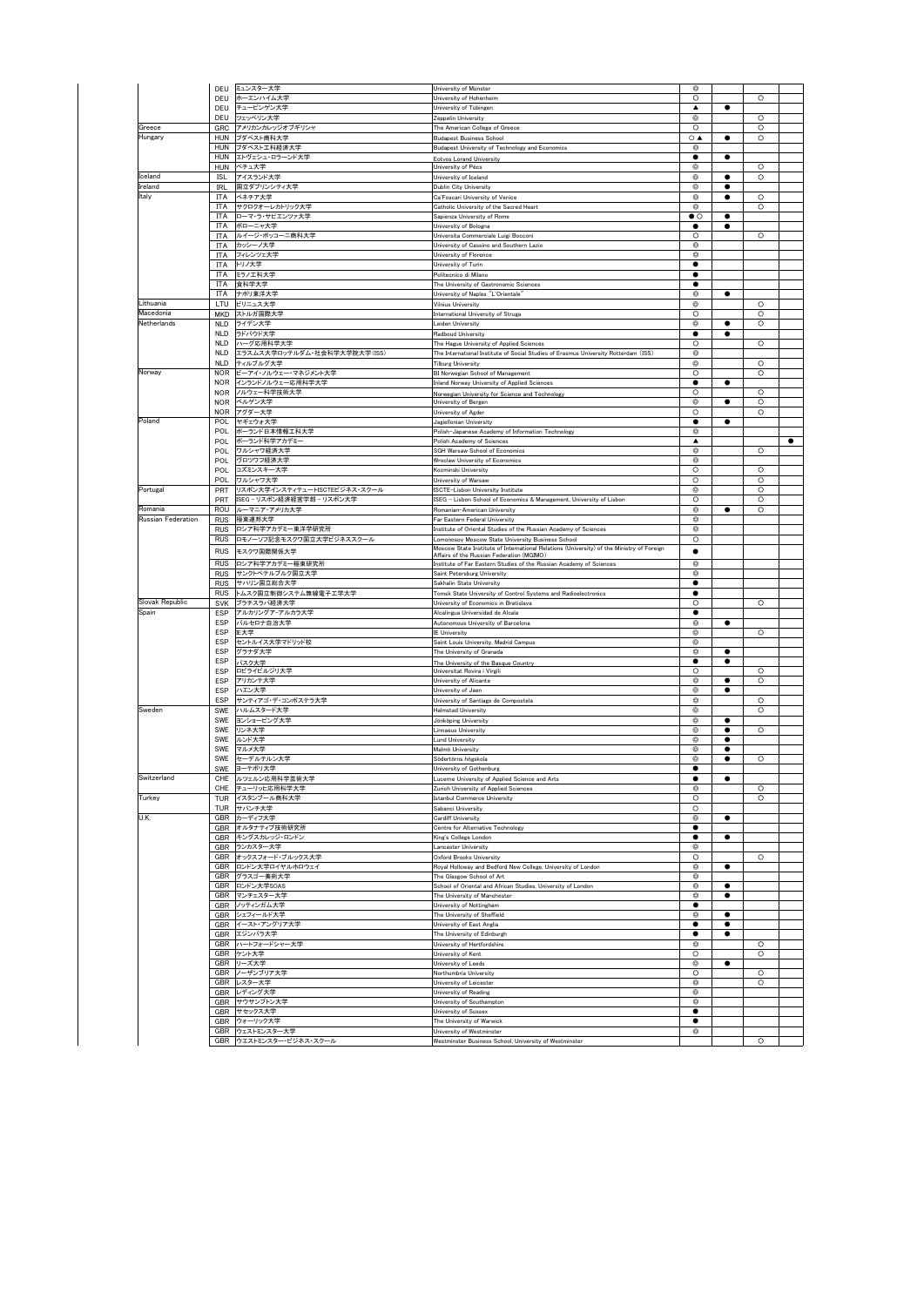|                    | DEU        | ミュンスター大学                          | University of Münster                                                                                                                  | Q                            |                |         |           |
|--------------------|------------|-----------------------------------|----------------------------------------------------------------------------------------------------------------------------------------|------------------------------|----------------|---------|-----------|
|                    | DEU        | ホーエンハイム大学                         | University of Hohenheim                                                                                                                | $\circ$                      |                | $\circ$ |           |
|                    |            | DEU チュービンゲン大学                     | University of Tübingen                                                                                                                 | ▲                            | $\bullet$      |         |           |
|                    | DEU        | ツェッペリン大学                          | Zeopelin University                                                                                                                    | $\circ$                      |                | $\circ$ |           |
| Greece             | GRC        | アメリカンカレッジオブギリシャ                   | The American College of Greece                                                                                                         | $\circ$                      |                | O       |           |
| Hungary            | <b>HUN</b> | ブダペスト商科大学                         | <b>Budapest Business School</b>                                                                                                        | $\circ$ $\triangle$          |                | $\circ$ |           |
|                    | <b>HUN</b> | ブダペスト工科経済大学                       | Budapest University of Technology and Economics                                                                                        | $^{\circ}$                   |                |         |           |
|                    | HUN        | エトヴェシュ・ロラーンド大学                    | <b>Eotvos Lorand University</b>                                                                                                        | $\bullet$                    | $\bullet$      |         |           |
|                    |            | HUN ペチュ大学                         | University of Pécs                                                                                                                     | Ø                            |                | $\circ$ |           |
| Iceland            | ISL        | アイスランド大学                          | University of Iceland                                                                                                                  | $^{\circ}$                   |                | $\circ$ |           |
| Ireland            | IRL        | 国立ダブリンシティ大学                       | Dublin City University                                                                                                                 | $^{\circ}$<br>$\circledcirc$ | $\bullet$<br>٠ | Ō       |           |
| Italy              | ITA<br>ITA | ベネチア大学<br>サクロクオーレカトリック大学          | Ca'Foscari University of Venice<br>Catholic University of the Sacred Heart                                                             | $\circledcirc$               |                | $\circ$ |           |
|                    | ITA        | ローマ・ラ・サビエンツァ大学                    | Sapienza University of Rome                                                                                                            | $\bullet$ $\circ$            | ٠              |         |           |
|                    | ITA        | ボローニャ大学                           | Jniversity of Bologna                                                                                                                  | ٠                            | ٠              |         |           |
|                    | ITA        | ルイージ・ボッコーニ商科大学                    | Universita Commerciale Luigi Bocconi                                                                                                   | $\circ$                      |                | $\circ$ |           |
|                    | ITA        | カッシーノ大学                           | University of Cassino and Southern Lazio                                                                                               | $\circ$                      |                |         |           |
|                    | ITA        | フィレンツェ大学                          | Jniversity of Florence                                                                                                                 | $\circ$                      |                |         |           |
|                    | ITA        | トリノ大学                             | University of Turin                                                                                                                    | ٠                            |                |         |           |
|                    | ITA        | ミラノエ科大学                           | Politecnico di Milano                                                                                                                  | ٠                            |                |         |           |
|                    | ITA        | 食科学大学                             | The University of Gastronomic Sciences                                                                                                 | ٠                            |                |         |           |
|                    | <b>ITA</b> | ナポリ東洋大学                           | University of Naples "L'Orientale"                                                                                                     | $\circ$                      | $\bullet$      |         |           |
| Lithuania          | LTU        | ビリニュス大学                           | Vilnius University                                                                                                                     | $\circ$                      |                | $\circ$ |           |
| Macedonia          | MKD        | ストルガ国際大学                          | International University of Struga                                                                                                     | $\circ$                      |                | O       |           |
| Netherlands        | <b>NLD</b> | ライデン大学                            | eiden University                                                                                                                       | Ø                            | c              | $\circ$ |           |
|                    | <b>NLD</b> | ラドバウド大学                           | Radboud University                                                                                                                     | ٠                            |                |         |           |
|                    | <b>NLD</b> | ハーグ応用科学大学                         | The Hague University of Applied Sciences                                                                                               | $\circ$                      |                | $\circ$ |           |
|                    | <b>NLD</b> | エラスムス大学ロッテルダム·社会科学大学院大学(ISS)      | The International Institute of Social Studies of Erasmus University Rotterdam (ISS)                                                    | $^{\circ}$                   |                |         |           |
|                    | <b>NLD</b> | ティルブルグ大学                          | <b>Tilburg University</b>                                                                                                              | Ø                            |                | $\circ$ |           |
| Norway             | <b>NOR</b> | ビーアイ・ノルウェー・マネジメント大学               | BI Norwegian School of Management                                                                                                      | $\circ$                      |                | $\circ$ |           |
|                    | <b>NOR</b> | インランドノルウェー応用科学大学                  | Inland Norway University of Applied Sciences                                                                                           | $\bullet$                    | $\bullet$      |         |           |
|                    | <b>NOR</b> | ノルウェー科学技術大学                       | Norwegian University for Science and Technology                                                                                        | $\circ$                      |                | $\circ$ |           |
|                    | <b>NOR</b> | ベルゲン大学                            | University of Bergen                                                                                                                   | ◎                            |                | $\circ$ |           |
|                    | <b>NOR</b> | アグダー大学                            | Jniversity of Agder                                                                                                                    | $\circ$                      |                | $\circ$ |           |
| Poland             | POL        | マギェウォ大学                           | Jagiellonian University                                                                                                                | ٠                            |                |         |           |
|                    | POL.       | ポーランド日本情報工科大学                     | Polish-Japanese Academy of Information Technology                                                                                      | $\circ$                      |                |         |           |
|                    | POL        | ボーランド科学アカデミー                      | Polish Academy of Sciences                                                                                                             | ▲                            |                |         | $\bullet$ |
|                    | <b>POL</b> | ワルシャワ経済大学                         | SGH Warsaw School of Economics                                                                                                         | $\circledcirc$               |                | $\circ$ |           |
|                    | POL        | ヴロツワフ経済大学                         | Wroclaw University of Economics                                                                                                        | ◎                            |                |         |           |
|                    | POL        | コズミンスキー大学                         | Kozminski University                                                                                                                   | $\circ$                      |                | $\circ$ |           |
|                    | POL        | ワルシャワ大学                           | University of Warsaw                                                                                                                   | $\circ$                      |                | $\circ$ |           |
| Portugal           | PRT        | リスポン大学インスティテュートISCTEビジネス・スクール     | ISCTE-Lisbon University Institute                                                                                                      | $^{\circ}$                   |                | $\circ$ |           |
|                    | PRT        | ISEG-リスボン経済経営学部-リスボン大学            | ISEG - Lisbon School of Economics & Management, University of Lisbon                                                                   | $\circ$                      |                | O       |           |
| Romania            | ROU        | ルーマニア・アメリカ大学                      | Romanian-American University                                                                                                           | $^{\circ}$                   | ٠              | $\circ$ |           |
| Russian Federation | <b>RUS</b> | 極東連邦大学                            | Far Eastern Federal University                                                                                                         | $\circ$                      |                |         |           |
|                    | <b>RUS</b> | ロシア科学アカデミー東洋学研究所                  | Institute of Oriental Studies of the Russian Academy of Sciences                                                                       | $^{\circ}$                   |                |         |           |
|                    |            | RUS ロモノーソフ記念モスクワ国立大学ビジネススクール      | omonosov Moscow State University Business School.                                                                                      | $\circ$                      |                |         |           |
|                    | <b>RUS</b> | モスクワ国際関係大学                        | Moscow State Institute of International Relations (University) of the Ministry of Foreign<br>Affairs of the Russian Federation (MGIMO) | ٠                            |                |         |           |
|                    | <b>RUS</b> | ロシア科学アカデミー極東研究所                   | Institute of Far Eastern Studies of the Russian Academy of Sciences                                                                    | $^{\circ}$                   |                |         |           |
|                    | <b>RUS</b> | サンクトペテルブルク国立大学                    | Saint Petersburg University                                                                                                            | $\circ$                      |                |         |           |
|                    |            | RUS サハリン国立総合大学                    | Sakhalin State University                                                                                                              | ٠                            |                |         |           |
|                    | <b>RUS</b> | トムスク国立制御システム無線電子工学大学              | Tomsk State University of Control Systems and Radioelectronics                                                                         | ٠                            |                |         |           |
| Slovak Republic    | <b>SVK</b> | ブラチスラバ経済大学                        | University of Economics in Bratislava                                                                                                  | $\circ$                      |                | $\circ$ |           |
| Spain              | <b>FSP</b> | アルカリングアーアルカラ大学                    | Alcalingua Universidad de Alcala                                                                                                       | ٠                            |                |         |           |
|                    | ESP        | バルセロナ自治大学                         | Autonomous University of Barcelona                                                                                                     | $\circ$                      | $\bullet$      |         |           |
|                    | ESP        | IE大学                              | <b>IE University</b>                                                                                                                   | ◎                            |                | $\circ$ |           |
|                    | ESP        | セントルイス大学マドリッド校                    | Saint Louis University, Madrid Campus                                                                                                  | ◎                            |                |         |           |
|                    | ESP        | グラナダ大学                            | The University of Granada                                                                                                              | $^{\circ}$                   | ٠              |         |           |
|                    | ESP        | バスク大学                             | The University of the Basque Country                                                                                                   | ٠                            | $\bullet$      |         |           |
|                    | ESP        | ロビライビルジリ大学                        | Universitat Rovira i Virgili                                                                                                           | $\circ$                      |                | $\circ$ |           |
|                    | ESP        | アリカンテ大学                           | University of Alicante                                                                                                                 | $\circ$                      | $\bullet$      | $\circ$ |           |
|                    | ESP        | ハエン大学                             | University of Jaen                                                                                                                     | O                            | c              |         |           |
|                    | ESP        | サンティアゴ・デ・コンポステラ大学                 | University of Santiago de Compostela                                                                                                   | Ø                            |                | O       |           |
| Sweden             | SWE        | ハルムスタード大学                         | Halmstad University                                                                                                                    | Ø                            |                | $\circ$ |           |
|                    | SWE        | ヨンショーピング大学                        | Jönköping University                                                                                                                   | $^{\circ}$                   | ٠              |         |           |
|                    | SWE        | リンネ大学                             | innaeus University                                                                                                                     | ◎                            |                | $\circ$ |           |
|                    | SWE        | ルンド大学                             | und University                                                                                                                         | ◎                            |                |         |           |
|                    | SWE        | マルメ大学                             | Malmö University                                                                                                                       | Ø                            |                |         |           |
|                    | SWE        | セーデルテルン大学                         | Södertörns högskola                                                                                                                    | $^{\circ}$                   | c              | $\circ$ |           |
|                    | SWE        | ヨーテボリ大学                           | University of Gothenburg                                                                                                               | $\bullet$                    |                |         |           |
| Switzerland        | CHE        | ルツェルン応用科学                         |                                                                                                                                        |                              |                |         |           |
|                    | CHE        | チューリッヒ応用科学大学                      | urich University of Applied Sciences                                                                                                   | $^{\circ}$                   |                | O       |           |
| Turkey             | TUR        | イスタンブール商科大学                       | stanbul Commerce University                                                                                                            | $\circ$                      |                | $\circ$ |           |
|                    | TUR        | サパンチ大学                            | Sabanci University                                                                                                                     | $\circ$                      |                |         |           |
| U.K.               |            | GBR カーディフ大学                       | Cardiff University                                                                                                                     | $\circledcirc$               |                |         |           |
|                    |            | GBR オルタナティブ技術研究所                  | Centre for Alternative Technology                                                                                                      | ٠                            |                |         |           |
|                    |            | GBR キングスカレッジ・ロンドン                 | King's College London                                                                                                                  | ٠                            | ٠              |         |           |
|                    |            | GBR ランカスター大学                      | Lancaster University                                                                                                                   | Ø                            |                |         |           |
|                    |            | GBR オックスフォード・ブルックス大学              | Oxford Brooks University                                                                                                               | $\circ$                      |                | $\circ$ |           |
|                    |            | GBR ロンドン大学ロイヤルホロウェイ               | Royal Holloway and Bedford New College, University of London                                                                           | $\circledcirc$               | $\bullet$      |         |           |
|                    |            | GBR グラスゴー美術大学                     | The Glasgow School of Art                                                                                                              | $\circ$                      |                |         |           |
|                    |            | GBR ロンドン大学SOAS                    | School of Oriental and African Studies, University of London                                                                           | ◎                            | ٠              |         |           |
|                    |            | GBR マンチェスター大学                     | The University of Manchester                                                                                                           | $^{\circ}$                   | 0              |         |           |
|                    |            | GBR ノッティンガム大学                     | University of Nottingham                                                                                                               | ٠                            |                |         |           |
|                    |            | GBR シェフィールド大学<br>GBR イースト・アングリア大学 | The University of Sheffield<br>University of East Anglia                                                                               | $\circ$<br>٠                 | $\bullet$<br>c |         |           |
|                    |            | GBR エジンバラ大学                       |                                                                                                                                        | ٠                            | ٠              |         |           |
|                    |            | ハートフォードシャー大学                      | The University of Edinburgh                                                                                                            |                              |                | $\circ$ |           |
|                    | <b>GBR</b> | GBR ケント大学                         | University of Hertfordshire<br>University of Kent                                                                                      | $^{\circ}$<br>O              |                | $\circ$ |           |
|                    |            | GBR リーズ大学                         | University of Leeds                                                                                                                    | Ø                            |                |         |           |
|                    | <b>GBR</b> | ノーザンブリア大学                         | Northumbria University                                                                                                                 | $\circ$                      |                | $\circ$ |           |
|                    |            | GBR レスター大学                        | Jniversity of Leicester                                                                                                                | $\circ$                      |                | $\circ$ |           |
|                    |            | GBR レディング大学                       | Jniversity of Reading                                                                                                                  | $\circledcirc$               |                |         |           |
|                    |            | GBR サウサンプトン大学                     | <b>Jniversity of Southampton</b>                                                                                                       | ◎                            |                |         |           |
|                    |            | GBR サセックス大学                       | Jniversity of Sussex                                                                                                                   | ٠                            |                |         |           |
|                    |            | GBR ウォーリック大学                      | The University of Warwick                                                                                                              | ٠                            |                |         |           |
|                    |            | GBR ウェストミンスター大学                   | University of Westminster                                                                                                              | ◎                            |                |         |           |
|                    |            | GBR ウエストミンスター・ビジネス・スクール           | Westminster Business School, University of Westminster                                                                                 |                              |                | $\circ$ |           |